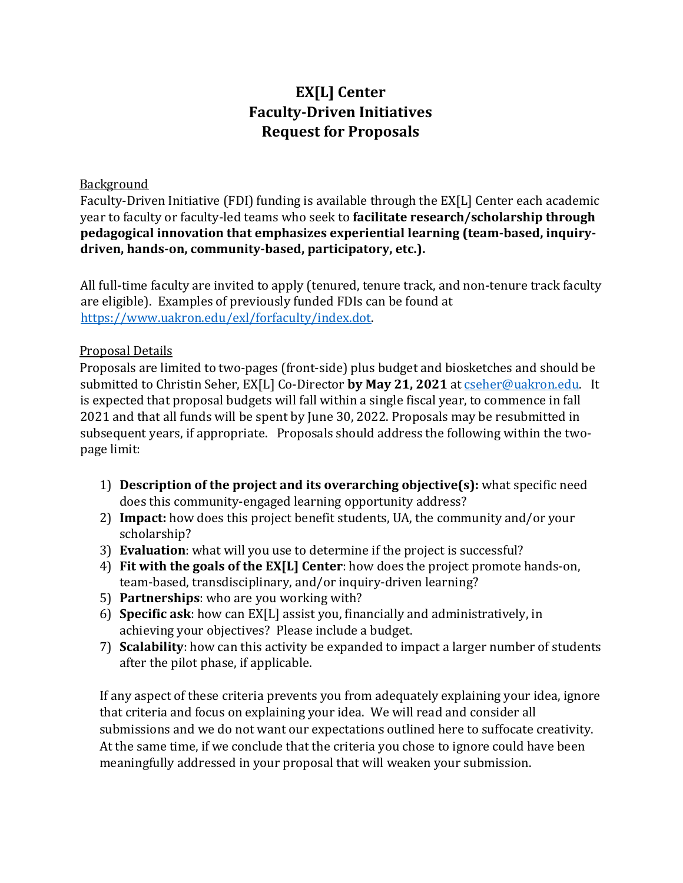# **EX[L] Center Faculty-Driven Initiatives Request for Proposals**

#### **Background**

Faculty-Driven Initiative (FDI) funding is available through the EX[L] Center each academic year to faculty or faculty-led teams who seek to **facilitate research/scholarship through pedagogical innovation that emphasizes experiential learning (team-based, inquirydriven, hands-on, community-based, participatory, etc.).**

All full-time faculty are invited to apply (tenured, tenure track, and non-tenure track faculty are eligible). Examples of previously funded FDIs can be found at [https://www.uakron.edu/exl/forfaculty/index.dot.](https://www.uakron.edu/exl/for-faculty/index.dot)

# Proposal Details

Proposals are limited to two-pages (front-side) plus budget and biosketches and should be submitted to Christin Seher, EX[L] Co-Director **by May 21, 2021** at [cseher@uakron.edu.](mailto:cseher@uakron.edu) It is expected that proposal budgets will fall within a single fiscal year, to commence in fall 2021 and that all funds will be spent by June 30, 2022. Proposals may be resubmitted in subsequent years, if appropriate. Proposals should address the following within the twopage limit:

- 1) **Description of the project and its overarching objective(s):** what specific need does this community-engaged learning opportunity address?
- 2) **Impact:** how does this project benefit students, UA, the community and/or your scholarship?
- 3) **Evaluation**: what will you use to determine if the project is successful?
- 4) **Fit with the goals of the EX[L] Center**: how does the project promote hands-on, team-based, transdisciplinary, and/or inquiry-driven learning?
- 5) **Partnerships**: who are you working with?
- 6) **Specific ask**: how can EX[L] assist you, financially and administratively, in achieving your objectives? Please include a budget.
- 7) **Scalability**: how can this activity be expanded to impact a larger number of students after the pilot phase, if applicable.

If any aspect of these criteria prevents you from adequately explaining your idea, ignore that criteria and focus on explaining your idea. We will read and consider all submissions and we do not want our expectations outlined here to suffocate creativity. At the same time, if we conclude that the criteria you chose to ignore could have been meaningfully addressed in your proposal that will weaken your submission.